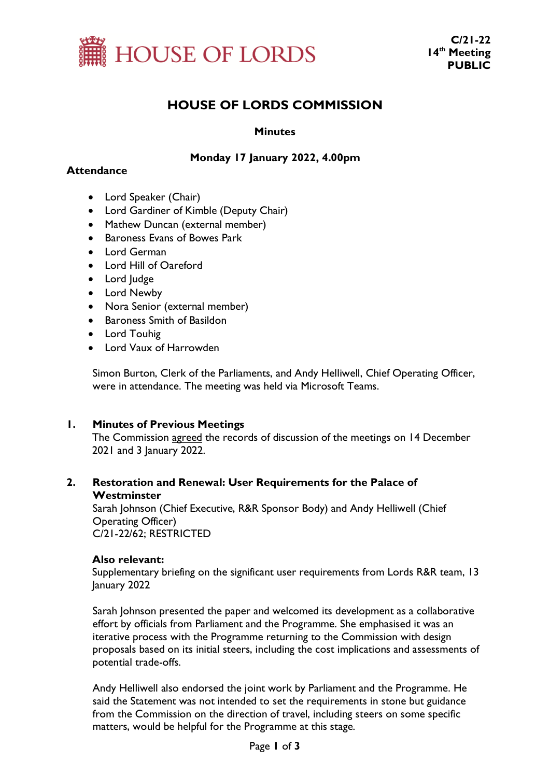

# **HOUSE OF LORDS COMMISSION**

## **Minutes**

# **Monday 17 January 2022, 4.00pm**

## **Attendance**

- Lord Speaker (Chair)
- Lord Gardiner of Kimble (Deputy Chair)
- Mathew Duncan (external member)
- Baroness Evans of Bowes Park
- Lord German
- Lord Hill of Oareford
- Lord Judge
- Lord Newby
- Nora Senior (external member)
- Baroness Smith of Basildon
- Lord Touhig
- Lord Vaux of Harrowden

Simon Burton, Clerk of the Parliaments, and Andy Helliwell, Chief Operating Officer, were in attendance. The meeting was held via Microsoft Teams.

#### **1. Minutes of Previous Meetings**

The Commission agreed the records of discussion of the meetings on 14 December 2021 and 3 January 2022.

# **2. Restoration and Renewal: User Requirements for the Palace of Westminster**

Sarah Johnson (Chief Executive, R&R Sponsor Body) and Andy Helliwell (Chief Operating Officer) C/21-22/62; RESTRICTED

#### **Also relevant:**

Supplementary briefing on the significant user requirements from Lords R&R team, 13 January 2022

Sarah Johnson presented the paper and welcomed its development as a collaborative effort by officials from Parliament and the Programme. She emphasised it was an iterative process with the Programme returning to the Commission with design proposals based on its initial steers, including the cost implications and assessments of potential trade-offs.

Andy Helliwell also endorsed the joint work by Parliament and the Programme. He said the Statement was not intended to set the requirements in stone but guidance from the Commission on the direction of travel, including steers on some specific matters, would be helpful for the Programme at this stage.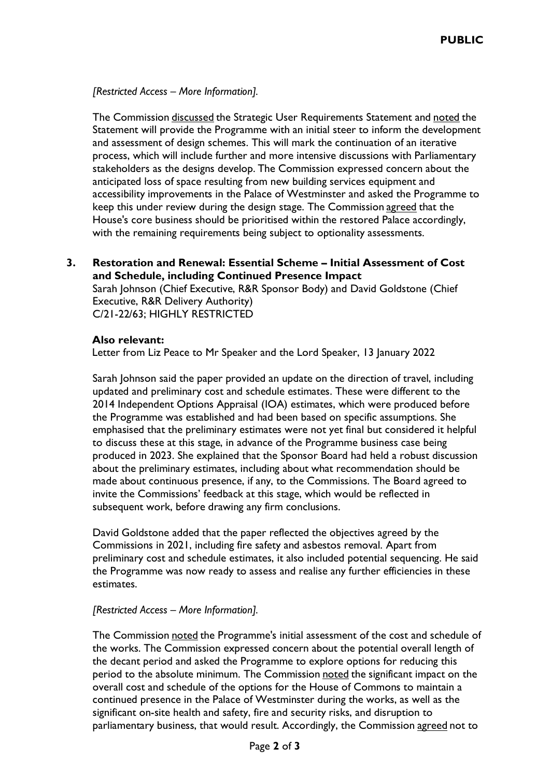## *[Restricted Access – More Information].*

The Commission discussed the Strategic User Requirements Statement and noted the Statement will provide the Programme with an initial steer to inform the development and assessment of design schemes. This will mark the continuation of an iterative process, which will include further and more intensive discussions with Parliamentary stakeholders as the designs develop. The Commission expressed concern about the anticipated loss of space resulting from new building services equipment and accessibility improvements in the Palace of Westminster and asked the Programme to keep this under review during the design stage. The Commission agreed that the House's core business should be prioritised within the restored Palace accordingly, with the remaining requirements being subject to optionality assessments.

**3. Restoration and Renewal: Essential Scheme – Initial Assessment of Cost and Schedule, including Continued Presence Impact** Sarah Johnson (Chief Executive, R&R Sponsor Body) and David Goldstone (Chief Executive, R&R Delivery Authority) C/21-22/63; HIGHLY RESTRICTED

#### **Also relevant:**

Letter from Liz Peace to Mr Speaker and the Lord Speaker, 13 January 2022

Sarah Johnson said the paper provided an update on the direction of travel, including updated and preliminary cost and schedule estimates. These were different to the 2014 Independent Options Appraisal (IOA) estimates, which were produced before the Programme was established and had been based on specific assumptions. She emphasised that the preliminary estimates were not yet final but considered it helpful to discuss these at this stage, in advance of the Programme business case being produced in 2023. She explained that the Sponsor Board had held a robust discussion about the preliminary estimates, including about what recommendation should be made about continuous presence, if any, to the Commissions. The Board agreed to invite the Commissions' feedback at this stage, which would be reflected in subsequent work, before drawing any firm conclusions.

David Goldstone added that the paper reflected the objectives agreed by the Commissions in 2021, including fire safety and asbestos removal. Apart from preliminary cost and schedule estimates, it also included potential sequencing. He said the Programme was now ready to assess and realise any further efficiencies in these estimates.

#### *[Restricted Access – More Information].*

The Commission noted the Programme's initial assessment of the cost and schedule of the works. The Commission expressed concern about the potential overall length of the decant period and asked the Programme to explore options for reducing this period to the absolute minimum. The Commission noted the significant impact on the overall cost and schedule of the options for the House of Commons to maintain a continued presence in the Palace of Westminster during the works, as well as the significant on-site health and safety, fire and security risks, and disruption to parliamentary business, that would result. Accordingly, the Commission agreed not to